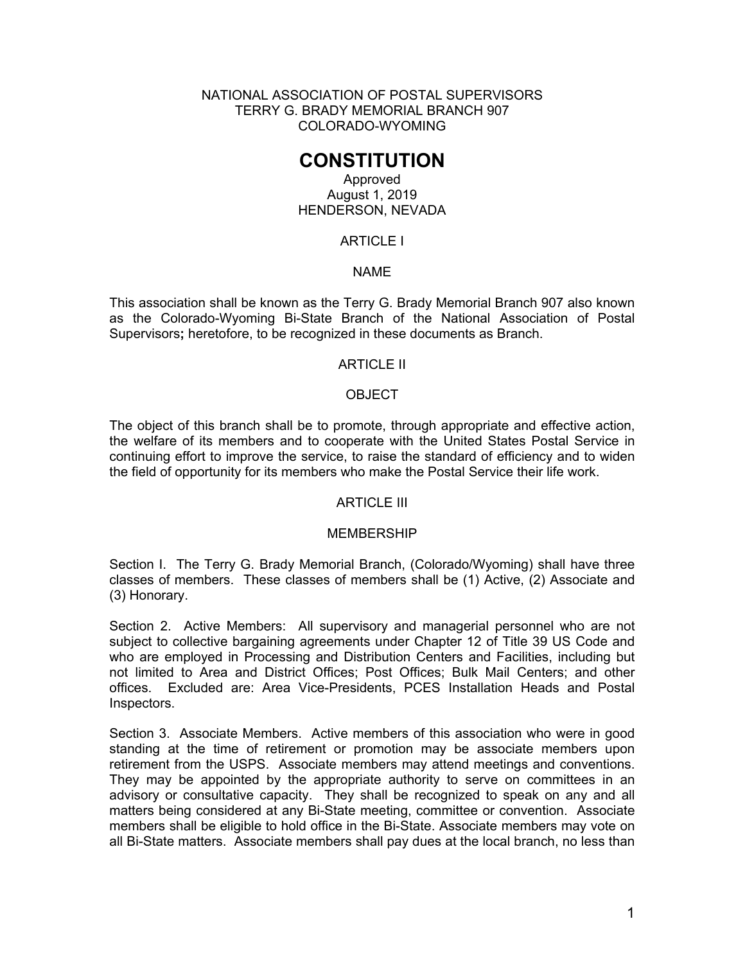NATIONAL ASSOCIATION OF POSTAL SUPERVISORS TERRY G. BRADY MEMORIAL BRANCH 907 COLORADO-WYOMING

# **CONSTITUTION**

## Approved August 1, 2019 HENDERSON, NEVADA

# ARTICLE I

## NAME

This association shall be known as the Terry G. Brady Memorial Branch 907 also known as the Colorado-Wyoming Bi-State Branch of the National Association of Postal Supervisors**;** heretofore, to be recognized in these documents as Branch.

### ARTICLE II

## **OBJECT**

The object of this branch shall be to promote, through appropriate and effective action, the welfare of its members and to cooperate with the United States Postal Service in continuing effort to improve the service, to raise the standard of efficiency and to widen the field of opportunity for its members who make the Postal Service their life work.

### ARTICLE III

### MEMBERSHIP

Section I. The Terry G. Brady Memorial Branch, (Colorado/Wyoming) shall have three classes of members. These classes of members shall be (1) Active, (2) Associate and (3) Honorary.

Section 2. Active Members: All supervisory and managerial personnel who are not subject to collective bargaining agreements under Chapter 12 of Title 39 US Code and who are employed in Processing and Distribution Centers and Facilities, including but not limited to Area and District Offices; Post Offices; Bulk Mail Centers; and other offices. Excluded are: Area Vice-Presidents, PCES Installation Heads and Postal Inspectors.

Section 3. Associate Members. Active members of this association who were in good standing at the time of retirement or promotion may be associate members upon retirement from the USPS. Associate members may attend meetings and conventions. They may be appointed by the appropriate authority to serve on committees in an advisory or consultative capacity. They shall be recognized to speak on any and all matters being considered at any Bi-State meeting, committee or convention. Associate members shall be eligible to hold office in the Bi-State. Associate members may vote on all Bi-State matters. Associate members shall pay dues at the local branch, no less than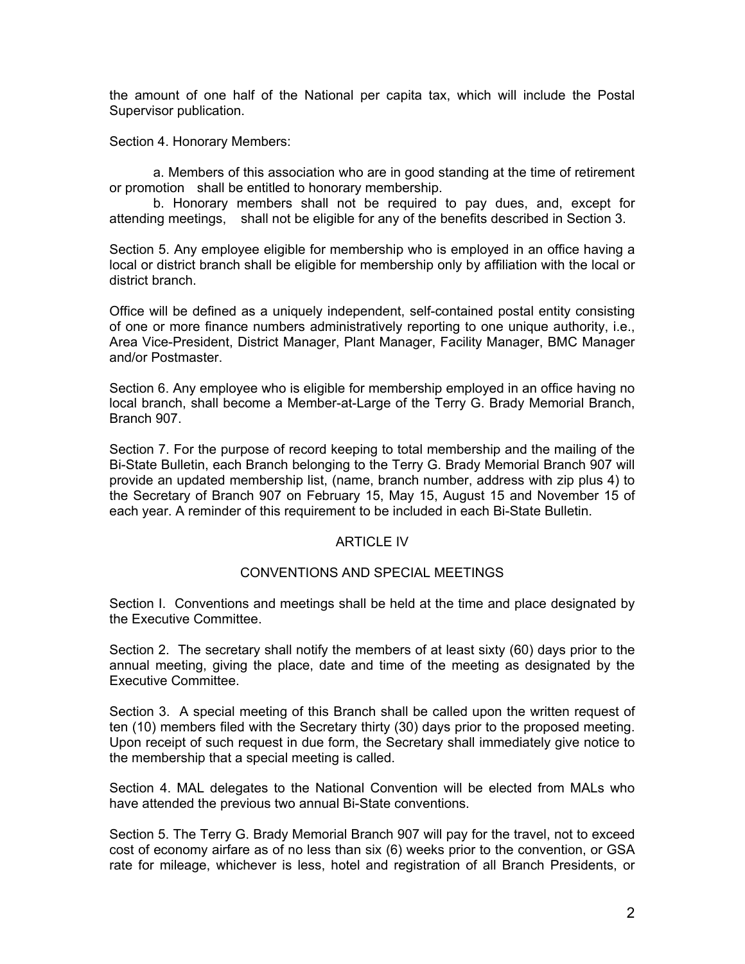the amount of one half of the National per capita tax, which will include the Postal Supervisor publication.

Section 4. Honorary Members:

 a. Members of this association who are in good standing at the time of retirement or promotion shall be entitled to honorary membership.

 b. Honorary members shall not be required to pay dues, and, except for attending meetings, shall not be eligible for any of the benefits described in Section 3.

Section 5. Any employee eligible for membership who is employed in an office having a local or district branch shall be eligible for membership only by affiliation with the local or district branch.

Office will be defined as a uniquely independent, self-contained postal entity consisting of one or more finance numbers administratively reporting to one unique authority, i.e., Area Vice-President, District Manager, Plant Manager, Facility Manager, BMC Manager and/or Postmaster.

Section 6. Any employee who is eligible for membership employed in an office having no local branch, shall become a Member-at-Large of the Terry G. Brady Memorial Branch, Branch 907.

Section 7. For the purpose of record keeping to total membership and the mailing of the Bi-State Bulletin, each Branch belonging to the Terry G. Brady Memorial Branch 907 will provide an updated membership list, (name, branch number, address with zip plus 4) to the Secretary of Branch 907 on February 15, May 15, August 15 and November 15 of each year. A reminder of this requirement to be included in each Bi-State Bulletin.

## ARTICLE IV

### CONVENTIONS AND SPECIAL MEETINGS

Section I. Conventions and meetings shall be held at the time and place designated by the Executive Committee.

Section 2. The secretary shall notify the members of at least sixty (60) days prior to the annual meeting, giving the place, date and time of the meeting as designated by the Executive Committee.

Section 3. A special meeting of this Branch shall be called upon the written request of ten (10) members filed with the Secretary thirty (30) days prior to the proposed meeting. Upon receipt of such request in due form, the Secretary shall immediately give notice to the membership that a special meeting is called.

Section 4. MAL delegates to the National Convention will be elected from MALs who have attended the previous two annual Bi-State conventions.

Section 5. The Terry G. Brady Memorial Branch 907 will pay for the travel, not to exceed cost of economy airfare as of no less than six (6) weeks prior to the convention, or GSA rate for mileage, whichever is less, hotel and registration of all Branch Presidents, or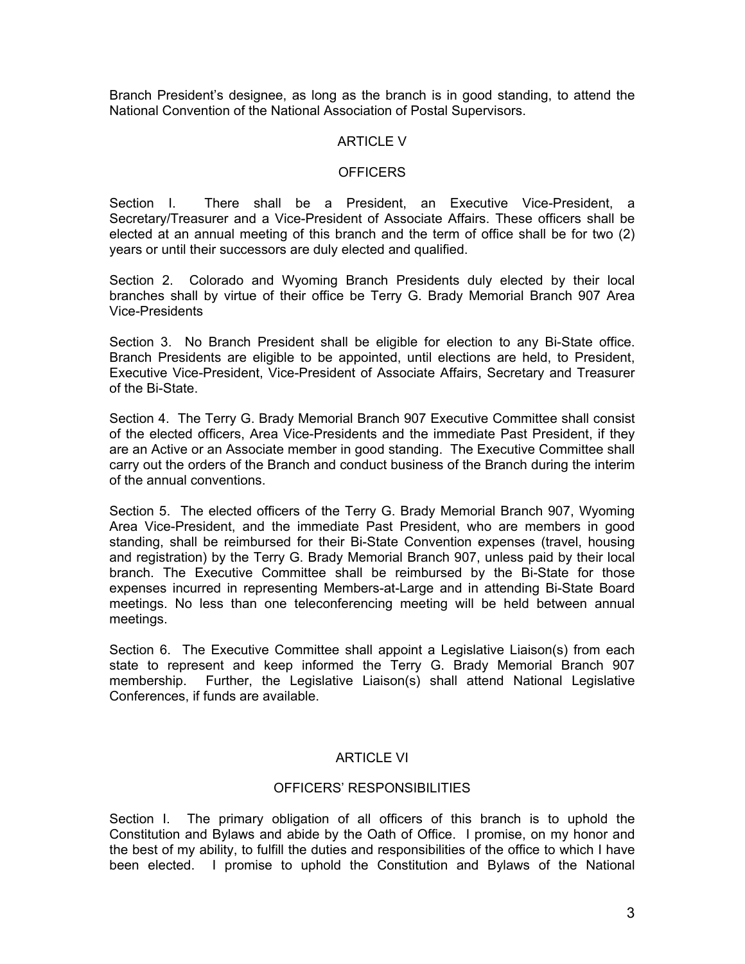Branch President's designee, as long as the branch is in good standing, to attend the National Convention of the National Association of Postal Supervisors.

## **ARTICLE V**

### **OFFICERS**

Section I. There shall be a President, an Executive Vice-President, a Secretary/Treasurer and a Vice-President of Associate Affairs. These officers shall be elected at an annual meeting of this branch and the term of office shall be for two (2) years or until their successors are duly elected and qualified.

Section 2. Colorado and Wyoming Branch Presidents duly elected by their local branches shall by virtue of their office be Terry G. Brady Memorial Branch 907 Area Vice-Presidents

Section 3. No Branch President shall be eligible for election to any Bi-State office. Branch Presidents are eligible to be appointed, until elections are held, to President, Executive Vice-President, Vice-President of Associate Affairs, Secretary and Treasurer of the Bi-State.

Section 4. The Terry G. Brady Memorial Branch 907 Executive Committee shall consist of the elected officers, Area Vice-Presidents and the immediate Past President, if they are an Active or an Associate member in good standing. The Executive Committee shall carry out the orders of the Branch and conduct business of the Branch during the interim of the annual conventions.

Section 5. The elected officers of the Terry G. Brady Memorial Branch 907, Wyoming Area Vice-President, and the immediate Past President, who are members in good standing, shall be reimbursed for their Bi-State Convention expenses (travel, housing and registration) by the Terry G. Brady Memorial Branch 907, unless paid by their local branch. The Executive Committee shall be reimbursed by the Bi-State for those expenses incurred in representing Members-at-Large and in attending Bi-State Board meetings. No less than one teleconferencing meeting will be held between annual meetings.

Section 6. The Executive Committee shall appoint a Legislative Liaison(s) from each state to represent and keep informed the Terry G. Brady Memorial Branch 907 membership. Further, the Legislative Liaison(s) shall attend National Legislative Conferences, if funds are available.

# ARTICLE VI

# OFFICERS' RESPONSIBILITIES

Section I. The primary obligation of all officers of this branch is to uphold the Constitution and Bylaws and abide by the Oath of Office. I promise, on my honor and the best of my ability, to fulfill the duties and responsibilities of the office to which I have been elected. I promise to uphold the Constitution and Bylaws of the National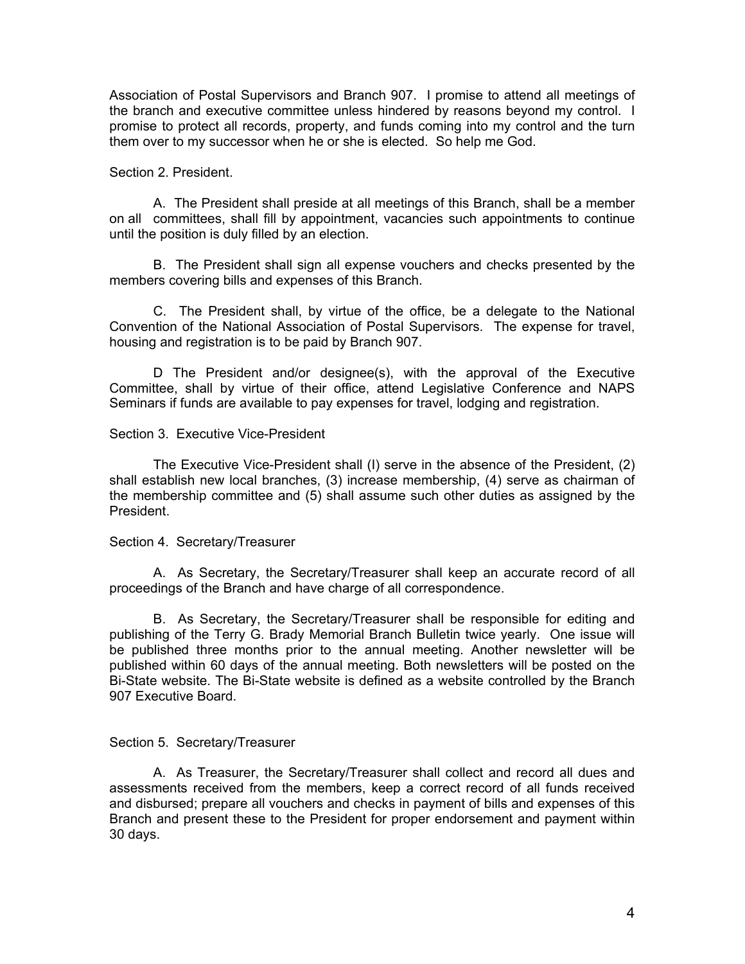Association of Postal Supervisors and Branch 907. I promise to attend all meetings of the branch and executive committee unless hindered by reasons beyond my control. I promise to protect all records, property, and funds coming into my control and the turn them over to my successor when he or she is elected. So help me God.

#### Section 2. President.

 A. The President shall preside at all meetings of this Branch, shall be a member on all committees, shall fill by appointment, vacancies such appointments to continue until the position is duly filled by an election.

 B. The President shall sign all expense vouchers and checks presented by the members covering bills and expenses of this Branch.

 C. The President shall, by virtue of the office, be a delegate to the National Convention of the National Association of Postal Supervisors. The expense for travel, housing and registration is to be paid by Branch 907.

 D The President and/or designee(s), with the approval of the Executive Committee, shall by virtue of their office, attend Legislative Conference and NAPS Seminars if funds are available to pay expenses for travel, lodging and registration.

#### Section 3. Executive Vice-President

 The Executive Vice-President shall (I) serve in the absence of the President, (2) shall establish new local branches, (3) increase membership, (4) serve as chairman of the membership committee and (5) shall assume such other duties as assigned by the President.

#### Section 4. Secretary/Treasurer

 A. As Secretary, the Secretary/Treasurer shall keep an accurate record of all proceedings of the Branch and have charge of all correspondence.

 B. As Secretary, the Secretary/Treasurer shall be responsible for editing and publishing of the Terry G. Brady Memorial Branch Bulletin twice yearly. One issue will be published three months prior to the annual meeting. Another newsletter will be published within 60 days of the annual meeting. Both newsletters will be posted on the Bi-State website. The Bi-State website is defined as a website controlled by the Branch 907 Executive Board.

### Section 5. Secretary/Treasurer

 A. As Treasurer, the Secretary/Treasurer shall collect and record all dues and assessments received from the members, keep a correct record of all funds received and disbursed; prepare all vouchers and checks in payment of bills and expenses of this Branch and present these to the President for proper endorsement and payment within 30 days.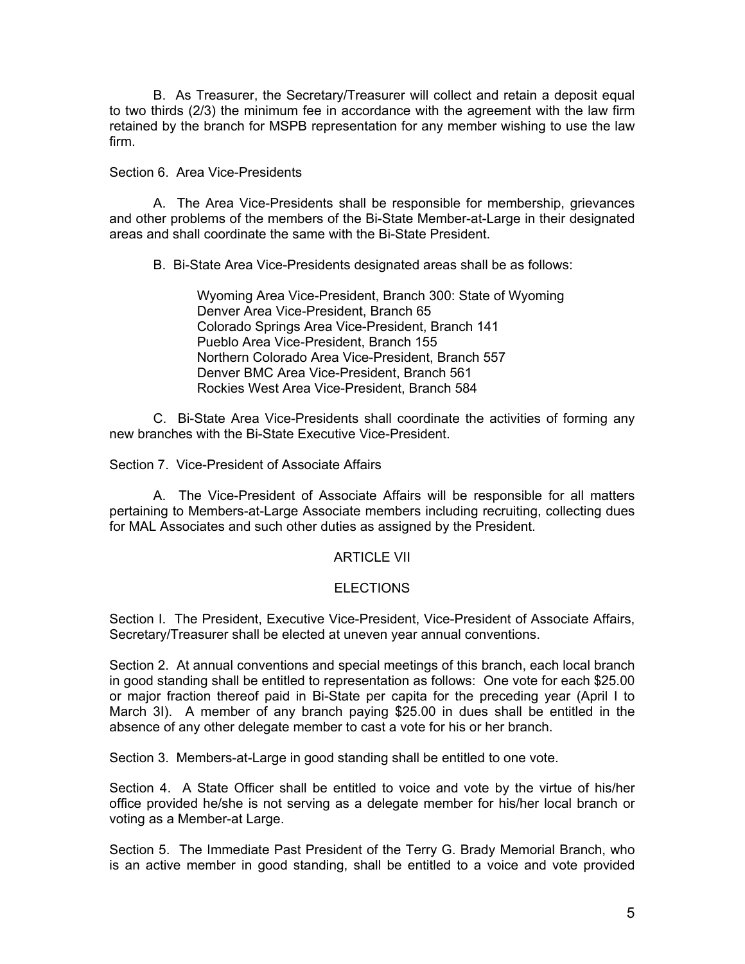B. As Treasurer, the Secretary/Treasurer will collect and retain a deposit equal to two thirds (2/3) the minimum fee in accordance with the agreement with the law firm retained by the branch for MSPB representation for any member wishing to use the law firm.

## Section 6. Area Vice-Presidents

 A. The Area Vice-Presidents shall be responsible for membership, grievances and other problems of the members of the Bi-State Member-at-Large in their designated areas and shall coordinate the same with the Bi-State President.

B. Bi-State Area Vice-Presidents designated areas shall be as follows:

 Wyoming Area Vice-President, Branch 300: State of Wyoming Denver Area Vice-President, Branch 65 Colorado Springs Area Vice-President, Branch 141 Pueblo Area Vice-President, Branch 155 Northern Colorado Area Vice-President, Branch 557 Denver BMC Area Vice-President, Branch 561 Rockies West Area Vice-President, Branch 584

 C. Bi-State Area Vice-Presidents shall coordinate the activities of forming any new branches with the Bi-State Executive Vice-President.

Section 7. Vice-President of Associate Affairs

 A. The Vice-President of Associate Affairs will be responsible for all matters pertaining to Members-at-Large Associate members including recruiting, collecting dues for MAL Associates and such other duties as assigned by the President.

# ARTICLE VII

# **ELECTIONS**

Section I. The President, Executive Vice-President, Vice-President of Associate Affairs, Secretary/Treasurer shall be elected at uneven year annual conventions.

Section 2. At annual conventions and special meetings of this branch, each local branch in good standing shall be entitled to representation as follows: One vote for each \$25.00 or major fraction thereof paid in Bi-State per capita for the preceding year (April I to March 3I). A member of any branch paying \$25.00 in dues shall be entitled in the absence of any other delegate member to cast a vote for his or her branch.

Section 3. Members-at-Large in good standing shall be entitled to one vote.

Section 4. A State Officer shall be entitled to voice and vote by the virtue of his/her office provided he/she is not serving as a delegate member for his/her local branch or voting as a Member-at Large.

Section 5. The Immediate Past President of the Terry G. Brady Memorial Branch, who is an active member in good standing, shall be entitled to a voice and vote provided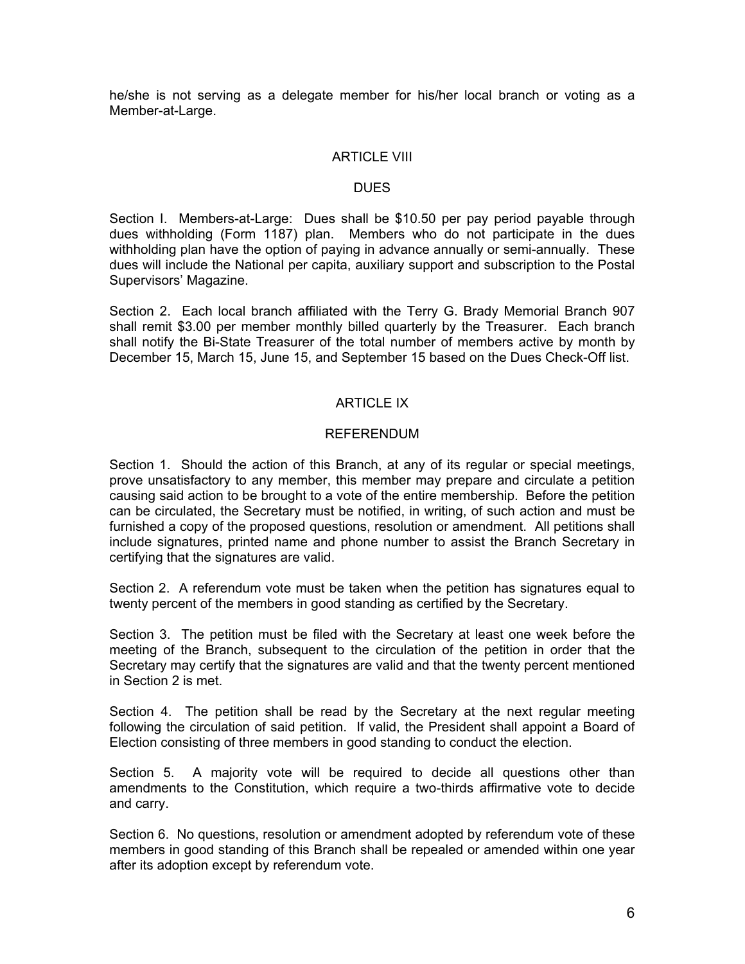he/she is not serving as a delegate member for his/her local branch or voting as a Member-at-Large.

### ARTICLE VIII

### DUES

Section I. Members-at-Large: Dues shall be \$10.50 per pay period payable through dues withholding (Form 1187) plan. Members who do not participate in the dues withholding plan have the option of paying in advance annually or semi-annually. These dues will include the National per capita, auxiliary support and subscription to the Postal Supervisors' Magazine.

Section 2. Each local branch affiliated with the Terry G. Brady Memorial Branch 907 shall remit \$3.00 per member monthly billed quarterly by the Treasurer. Each branch shall notify the Bi-State Treasurer of the total number of members active by month by December 15, March 15, June 15, and September 15 based on the Dues Check-Off list.

# ARTICLE IX

## REFERENDUM

Section 1. Should the action of this Branch, at any of its regular or special meetings, prove unsatisfactory to any member, this member may prepare and circulate a petition causing said action to be brought to a vote of the entire membership. Before the petition can be circulated, the Secretary must be notified, in writing, of such action and must be furnished a copy of the proposed questions, resolution or amendment. All petitions shall include signatures, printed name and phone number to assist the Branch Secretary in certifying that the signatures are valid.

Section 2. A referendum vote must be taken when the petition has signatures equal to twenty percent of the members in good standing as certified by the Secretary.

Section 3. The petition must be filed with the Secretary at least one week before the meeting of the Branch, subsequent to the circulation of the petition in order that the Secretary may certify that the signatures are valid and that the twenty percent mentioned in Section 2 is met.

Section 4. The petition shall be read by the Secretary at the next regular meeting following the circulation of said petition. If valid, the President shall appoint a Board of Election consisting of three members in good standing to conduct the election.

Section 5. A majority vote will be required to decide all questions other than amendments to the Constitution, which require a two-thirds affirmative vote to decide and carry.

Section 6. No questions, resolution or amendment adopted by referendum vote of these members in good standing of this Branch shall be repealed or amended within one year after its adoption except by referendum vote.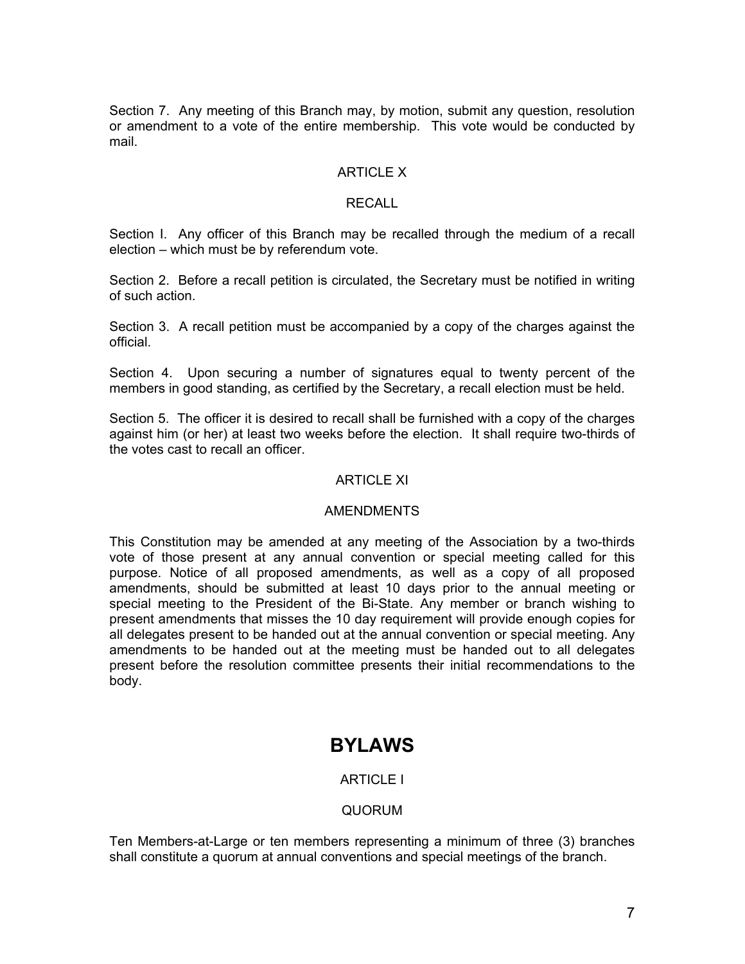Section 7. Any meeting of this Branch may, by motion, submit any question, resolution or amendment to a vote of the entire membership. This vote would be conducted by mail.

## ARTICLE X

## RECALL

Section I. Any officer of this Branch may be recalled through the medium of a recall election – which must be by referendum vote.

Section 2. Before a recall petition is circulated, the Secretary must be notified in writing of such action.

Section 3. A recall petition must be accompanied by a copy of the charges against the official.

Section 4. Upon securing a number of signatures equal to twenty percent of the members in good standing, as certified by the Secretary, a recall election must be held.

Section 5. The officer it is desired to recall shall be furnished with a copy of the charges against him (or her) at least two weeks before the election. It shall require two-thirds of the votes cast to recall an officer.

### **ARTICLE XI**

### AMENDMENTS

This Constitution may be amended at any meeting of the Association by a two-thirds vote of those present at any annual convention or special meeting called for this purpose. Notice of all proposed amendments, as well as a copy of all proposed amendments, should be submitted at least 10 days prior to the annual meeting or special meeting to the President of the Bi-State. Any member or branch wishing to present amendments that misses the 10 day requirement will provide enough copies for all delegates present to be handed out at the annual convention or special meeting. Any amendments to be handed out at the meeting must be handed out to all delegates present before the resolution committee presents their initial recommendations to the body.

# **BYLAWS**

# ARTICLE I

# QUORUM

Ten Members-at-Large or ten members representing a minimum of three (3) branches shall constitute a quorum at annual conventions and special meetings of the branch.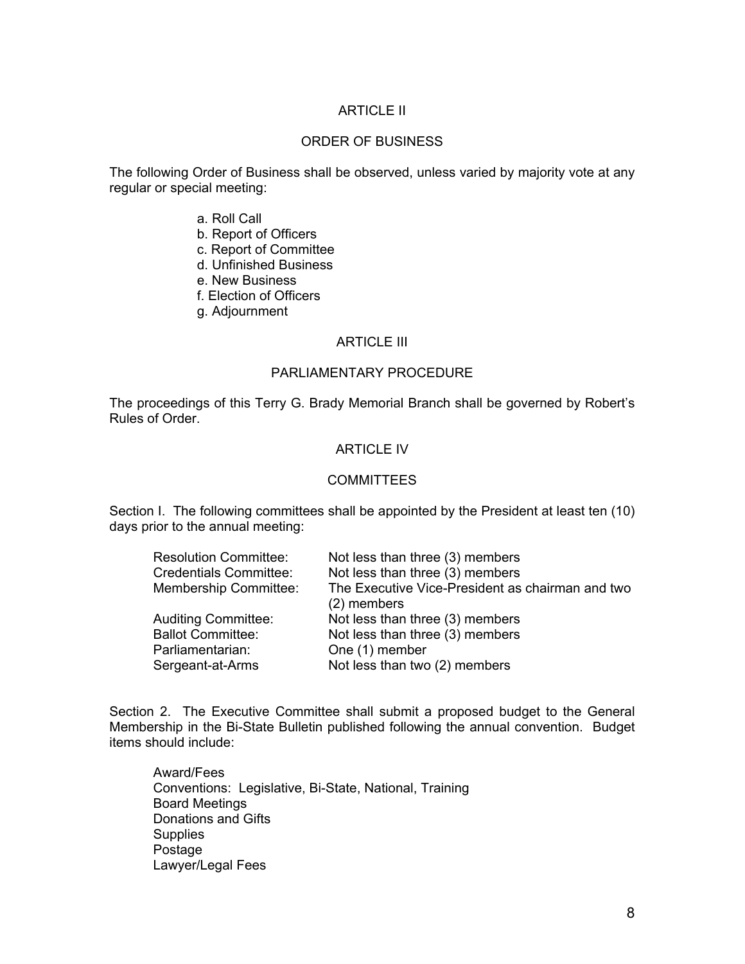# ARTICLE II

# ORDER OF BUSINESS

The following Order of Business shall be observed, unless varied by majority vote at any regular or special meeting:

- a. Roll Call
- b. Report of Officers
- c. Report of Committee
- d. Unfinished Business
- e. New Business
- f. Election of Officers
- g. Adjournment

## ARTICLE III

## PARLIAMENTARY PROCEDURE

The proceedings of this Terry G. Brady Memorial Branch shall be governed by Robert's Rules of Order.

## ARTICLE IV

#### COMMITTEES

Section I. The following committees shall be appointed by the President at least ten (10) days prior to the annual meeting:

| <b>Resolution Committee:</b>  | Not less than three (3) members                  |
|-------------------------------|--------------------------------------------------|
| <b>Credentials Committee:</b> | Not less than three (3) members                  |
| <b>Membership Committee:</b>  | The Executive Vice-President as chairman and two |
|                               | (2) members                                      |
| <b>Auditing Committee:</b>    | Not less than three (3) members                  |
| <b>Ballot Committee:</b>      | Not less than three (3) members                  |
| Parliamentarian:              | One (1) member                                   |
| Sergeant-at-Arms              | Not less than two (2) members                    |
|                               |                                                  |

Section 2. The Executive Committee shall submit a proposed budget to the General Membership in the Bi-State Bulletin published following the annual convention. Budget items should include:

 Award/Fees Conventions: Legislative, Bi-State, National, Training Board Meetings Donations and Gifts **Supplies**  Postage Lawyer/Legal Fees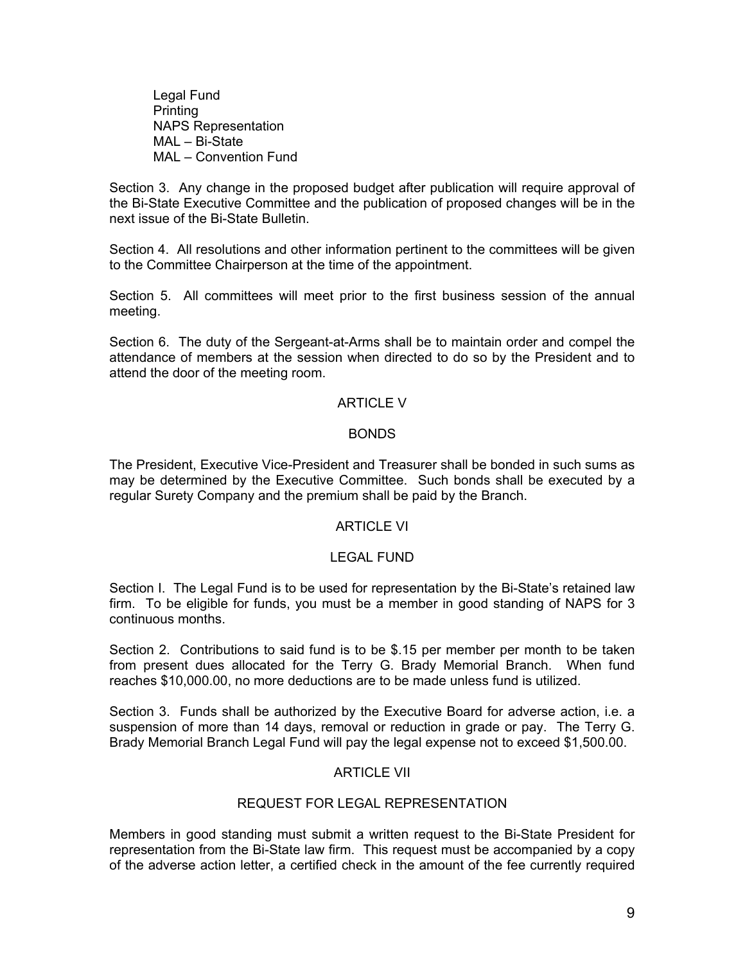Legal Fund Printing NAPS Representation MAL – Bi-State MAL – Convention Fund

Section 3. Any change in the proposed budget after publication will require approval of the Bi-State Executive Committee and the publication of proposed changes will be in the next issue of the Bi-State Bulletin.

Section 4. All resolutions and other information pertinent to the committees will be given to the Committee Chairperson at the time of the appointment.

Section 5. All committees will meet prior to the first business session of the annual meeting.

Section 6. The duty of the Sergeant-at-Arms shall be to maintain order and compel the attendance of members at the session when directed to do so by the President and to attend the door of the meeting room.

## ARTICLE V

#### BONDS

The President, Executive Vice-President and Treasurer shall be bonded in such sums as may be determined by the Executive Committee. Such bonds shall be executed by a regular Surety Company and the premium shall be paid by the Branch.

### ARTICLE VI

# LEGAL FUND

Section I. The Legal Fund is to be used for representation by the Bi-State's retained law firm. To be eligible for funds, you must be a member in good standing of NAPS for 3 continuous months.

Section 2. Contributions to said fund is to be \$.15 per member per month to be taken from present dues allocated for the Terry G. Brady Memorial Branch. When fund reaches \$10,000.00, no more deductions are to be made unless fund is utilized.

Section 3. Funds shall be authorized by the Executive Board for adverse action, i.e. a suspension of more than 14 days, removal or reduction in grade or pay. The Terry G. Brady Memorial Branch Legal Fund will pay the legal expense not to exceed \$1,500.00.

# ARTICLE VII

# REQUEST FOR LEGAL REPRESENTATION

Members in good standing must submit a written request to the Bi-State President for representation from the Bi-State law firm. This request must be accompanied by a copy of the adverse action letter, a certified check in the amount of the fee currently required